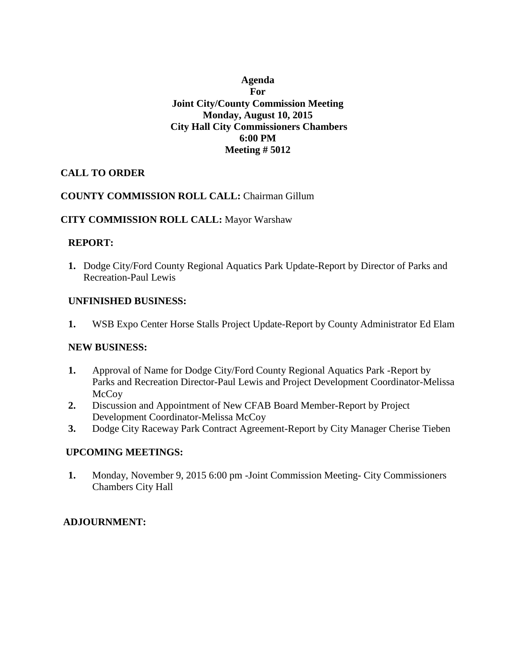# **Agenda For Joint City/County Commission Meeting Monday, August 10, 2015 City Hall City Commissioners Chambers 6:00 PM Meeting # 5012**

## **CALL TO ORDER**

### **COUNTY COMMISSION ROLL CALL:** Chairman Gillum

### **CITY COMMISSION ROLL CALL:** Mayor Warshaw

### **REPORT:**

**1.** Dodge City/Ford County Regional Aquatics Park Update-Report by Director of Parks and Recreation-Paul Lewis

### **UNFINISHED BUSINESS:**

**1.** WSB Expo Center Horse Stalls Project Update-Report by County Administrator Ed Elam

### **NEW BUSINESS:**

- **1.** Approval of Name for Dodge City/Ford County Regional Aquatics Park -Report by Parks and Recreation Director-Paul Lewis and Project Development Coordinator-Melissa **McCoy**
- **2.** Discussion and Appointment of New CFAB Board Member-Report by Project Development Coordinator-Melissa McCoy
- **3.** Dodge City Raceway Park Contract Agreement-Report by City Manager Cherise Tieben

### **UPCOMING MEETINGS:**

**1.** Monday, November 9, 2015 6:00 pm -Joint Commission Meeting- City Commissioners Chambers City Hall

## **ADJOURNMENT:**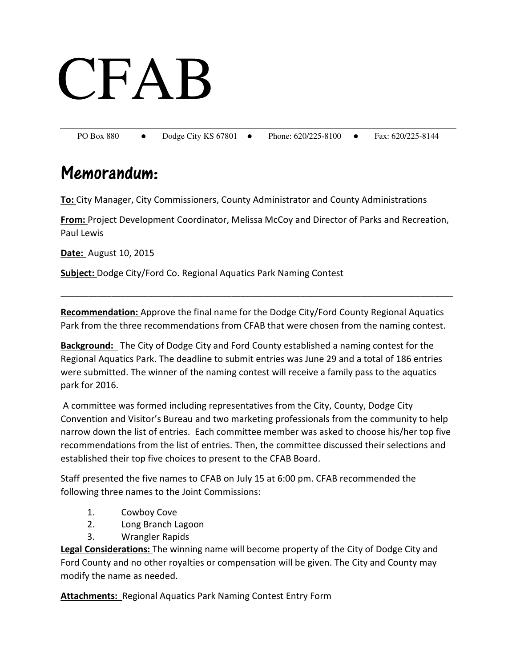# CFAB

PO Box 880 • Dodge City KS 67801 • Phone: 620/225-8100 • Fax: 620/225-8144

# Memorandum:

**To:** City Manager, City Commissioners, County Administrator and County Administrations

**From:** Project Development Coordinator, Melissa McCoy and Director of Parks and Recreation, Paul Lewis

**Date:** August 10, 2015

**Subject:** Dodge City/Ford Co. Regional Aquatics Park Naming Contest

**Recommendation:** Approve the final name for the Dodge City/Ford County Regional Aquatics Park from the three recommendations from CFAB that were chosen from the naming contest.

\_\_\_\_\_\_\_\_\_\_\_\_\_\_\_\_\_\_\_\_\_\_\_\_\_\_\_\_\_\_\_\_\_\_\_\_\_\_\_\_\_\_\_\_\_\_\_\_\_\_\_\_\_\_\_\_\_\_\_\_\_\_\_\_\_\_\_\_\_\_\_\_\_\_\_\_\_\_\_\_\_\_\_\_\_

**Background:** The City of Dodge City and Ford County established a naming contest for the Regional Aquatics Park. The deadline to submit entries was June 29 and a total of 186 entries were submitted. The winner of the naming contest will receive a family pass to the aquatics park for 2016.

 A committee was formed including representatives from the City, County, Dodge City Convention and Visitor's Bureau and two marketing professionals from the community to help narrow down the list of entries. Each committee member was asked to choose his/her top five recommendations from the list of entries. Then, the committee discussed their selections and established their top five choices to present to the CFAB Board.

Staff presented the five names to CFAB on July 15 at 6:00 pm. CFAB recommended the following three names to the Joint Commissions:

- 1. Cowboy Cove
- 2. Long Branch Lagoon
- 3. Wrangler Rapids

**Legal Considerations:** The winning name will become property of the City of Dodge City and Ford County and no other royalties or compensation will be given. The City and County may modify the name as needed.

**Attachments:** Regional Aquatics Park Naming Contest Entry Form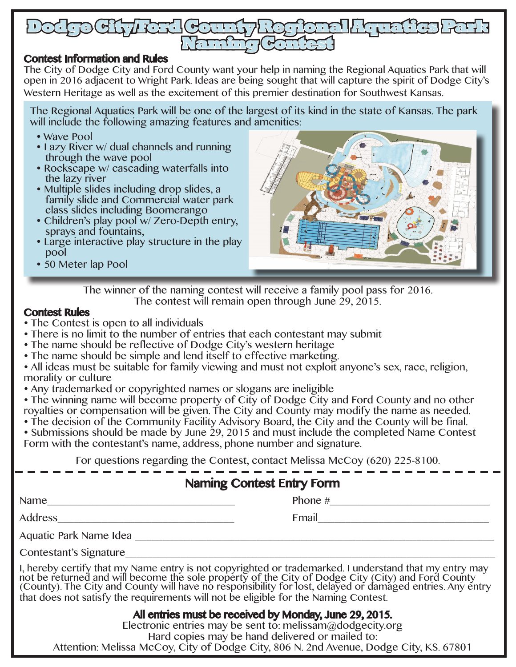

# Contest Information and Rules

The City of Dodge City and Ford County want your help in naming the Regional Aquatics Park that will open in 2016 adjacent to Wright Park. Ideas are being sought that will capture the spirit of Dodge City's Western Heritage as well as the excitement of this premier destination for Southwest Kansas.

The Regional Aquatics Park will be one of the largest of its kind in the state of Kansas. The park will include the following amazing features and amenities:

- Wave Pool
- Lazy River w/ dual channels and running through the wave pool
- Rockscape w/ cascading waterfalls into the lazy river
- Multiple slides including drop slides, a family slide and Commercial water park class slides including Boomerango
- Children's play pool w/ Zero-Depth entry, sprays and fountains,
- Large interactive play structure in the play pool
- 50 Meter lap Pool



The winner of the naming contest will receive a family pool pass for 2016. The contest will remain open through June 29, 2015.

# Contest Rules

- The Contest is open to all individuals
- There is no limit to the number of entries that each contestant may submit
- The name should be reflective of Dodge City's western heritage
- The name should be simple and lend itself to effective marketing.

 All ideas must be suitable for family viewing and must not exploit anyone's sex, race, religion, morality or culture

Any trademarked or copyrighted names or slogans are ineligible

• The winning name will become property of City of Dodge City and Ford County and no other royalties or compensation will be given. The City and County may modify the name as needed.

 The decision of the Community Facility Advisory Board, the City and the County will be final. • Submissions should be made by June 29, 2015 and must include the completed Name Contest Form with the contestant's name, address, phone number and signature.

For questions regarding the Contest, contact Melissa McCoy (620) 225-8100.

# Naming Contest Entry Form

| Name |  |  |
|------|--|--|
|      |  |  |

Phone  $\#$ 

Address\_\_\_\_\_\_\_\_\_\_\_\_\_\_\_\_\_\_\_\_\_\_\_\_\_\_\_\_\_\_\_\_ Email\_\_\_\_\_\_\_\_\_\_\_\_\_\_\_\_\_\_\_\_\_\_\_\_\_\_\_\_\_\_\_

Aquatic Park Name Idea \_\_\_\_\_\_\_\_\_\_\_\_\_\_\_\_\_\_\_\_\_\_\_\_\_\_\_\_\_\_\_\_\_\_\_\_\_\_\_\_\_\_\_\_\_\_\_\_\_\_\_\_\_\_\_\_\_\_\_\_\_\_\_\_\_

Contestant's Signature

I, hereby certify that my Name entry is not copyrighted or trademarked. I understand that my entry may not be returned and will become the sole property of the City of Dodge City (City) and Ford County (County). The City and County will have no responsibility for lost, delayed or damaged entries. Any entry that does not satisfy the requirements will not be eligible for the Naming Contest.

# All entries must be received by Monday, June 29, 2015.

Electronic entries may be sent to: melissam@dodgecity.org Hard copies may be hand delivered or mailed to: Attention: Melissa McCoy, City of Dodge City, 806 N. 2nd Avenue, Dodge City, KS. 67801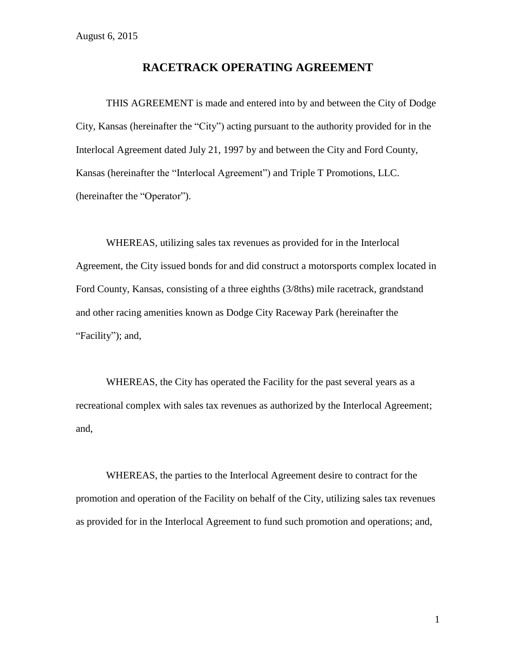# **RACETRACK OPERATING AGREEMENT**

THIS AGREEMENT is made and entered into by and between the City of Dodge City, Kansas (hereinafter the "City") acting pursuant to the authority provided for in the Interlocal Agreement dated July 21, 1997 by and between the City and Ford County, Kansas (hereinafter the "Interlocal Agreement") and Triple T Promotions, LLC. (hereinafter the "Operator").

WHEREAS, utilizing sales tax revenues as provided for in the Interlocal Agreement, the City issued bonds for and did construct a motorsports complex located in Ford County, Kansas, consisting of a three eighths (3/8ths) mile racetrack, grandstand and other racing amenities known as Dodge City Raceway Park (hereinafter the "Facility"); and,

WHEREAS, the City has operated the Facility for the past several years as a recreational complex with sales tax revenues as authorized by the Interlocal Agreement; and,

WHEREAS, the parties to the Interlocal Agreement desire to contract for the promotion and operation of the Facility on behalf of the City, utilizing sales tax revenues as provided for in the Interlocal Agreement to fund such promotion and operations; and,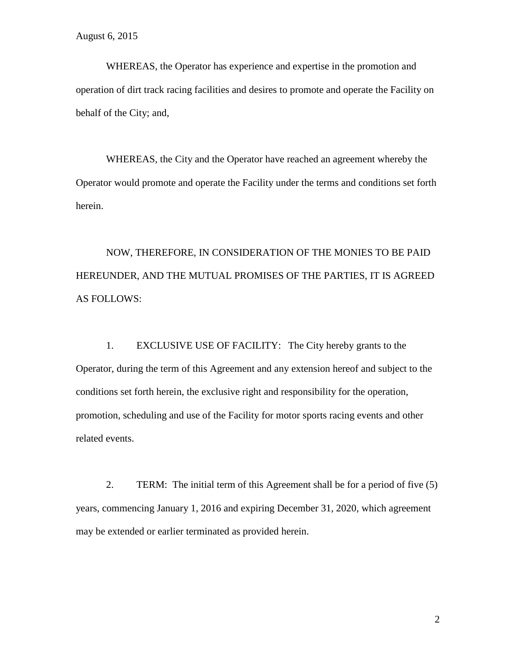WHEREAS, the Operator has experience and expertise in the promotion and operation of dirt track racing facilities and desires to promote and operate the Facility on behalf of the City; and,

WHEREAS, the City and the Operator have reached an agreement whereby the Operator would promote and operate the Facility under the terms and conditions set forth herein.

NOW, THEREFORE, IN CONSIDERATION OF THE MONIES TO BE PAID HEREUNDER, AND THE MUTUAL PROMISES OF THE PARTIES, IT IS AGREED AS FOLLOWS:

1. EXCLUSIVE USE OF FACILITY: The City hereby grants to the Operator, during the term of this Agreement and any extension hereof and subject to the conditions set forth herein, the exclusive right and responsibility for the operation, promotion, scheduling and use of the Facility for motor sports racing events and other related events.

2. TERM: The initial term of this Agreement shall be for a period of five (5) years, commencing January 1, 2016 and expiring December 31, 2020, which agreement may be extended or earlier terminated as provided herein.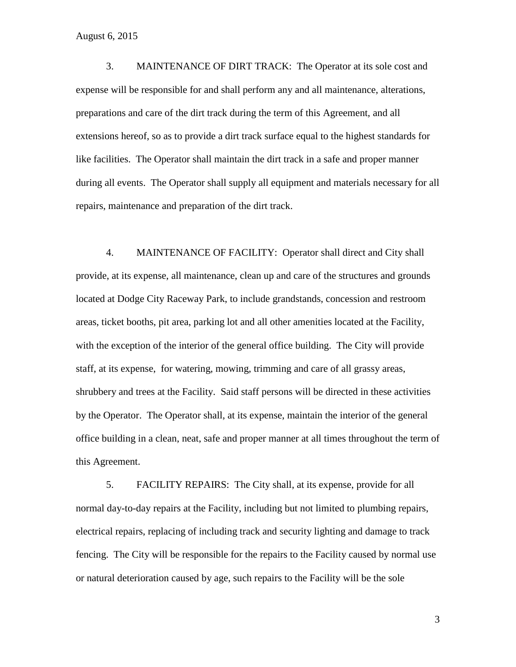3. MAINTENANCE OF DIRT TRACK: The Operator at its sole cost and expense will be responsible for and shall perform any and all maintenance, alterations, preparations and care of the dirt track during the term of this Agreement, and all extensions hereof, so as to provide a dirt track surface equal to the highest standards for like facilities. The Operator shall maintain the dirt track in a safe and proper manner during all events. The Operator shall supply all equipment and materials necessary for all repairs, maintenance and preparation of the dirt track.

4. MAINTENANCE OF FACILITY: Operator shall direct and City shall provide, at its expense, all maintenance, clean up and care of the structures and grounds located at Dodge City Raceway Park, to include grandstands, concession and restroom areas, ticket booths, pit area, parking lot and all other amenities located at the Facility, with the exception of the interior of the general office building. The City will provide staff, at its expense, for watering, mowing, trimming and care of all grassy areas, shrubbery and trees at the Facility. Said staff persons will be directed in these activities by the Operator. The Operator shall, at its expense, maintain the interior of the general office building in a clean, neat, safe and proper manner at all times throughout the term of this Agreement.

5. FACILITY REPAIRS: The City shall, at its expense, provide for all normal day-to-day repairs at the Facility, including but not limited to plumbing repairs, electrical repairs, replacing of including track and security lighting and damage to track fencing. The City will be responsible for the repairs to the Facility caused by normal use or natural deterioration caused by age, such repairs to the Facility will be the sole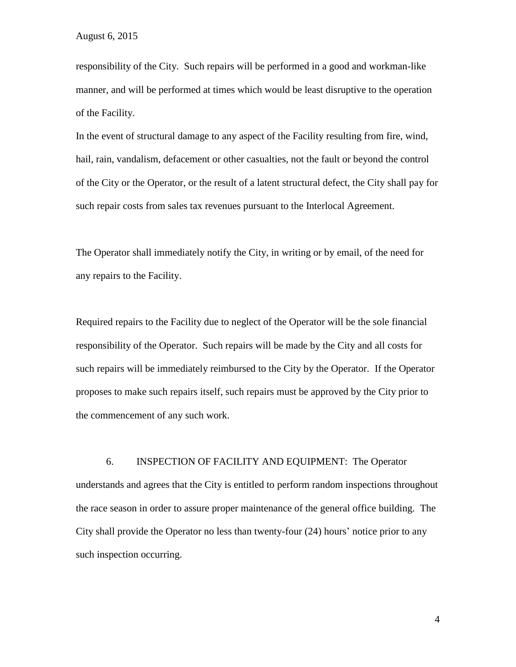responsibility of the City. Such repairs will be performed in a good and workman-like manner, and will be performed at times which would be least disruptive to the operation of the Facility.

In the event of structural damage to any aspect of the Facility resulting from fire, wind, hail, rain, vandalism, defacement or other casualties, not the fault or beyond the control of the City or the Operator, or the result of a latent structural defect, the City shall pay for such repair costs from sales tax revenues pursuant to the Interlocal Agreement.

The Operator shall immediately notify the City, in writing or by email, of the need for any repairs to the Facility.

Required repairs to the Facility due to neglect of the Operator will be the sole financial responsibility of the Operator. Such repairs will be made by the City and all costs for such repairs will be immediately reimbursed to the City by the Operator. If the Operator proposes to make such repairs itself, such repairs must be approved by the City prior to the commencement of any such work.

6. INSPECTION OF FACILITY AND EQUIPMENT: The Operator understands and agrees that the City is entitled to perform random inspections throughout the race season in order to assure proper maintenance of the general office building. The City shall provide the Operator no less than twenty-four (24) hours' notice prior to any such inspection occurring.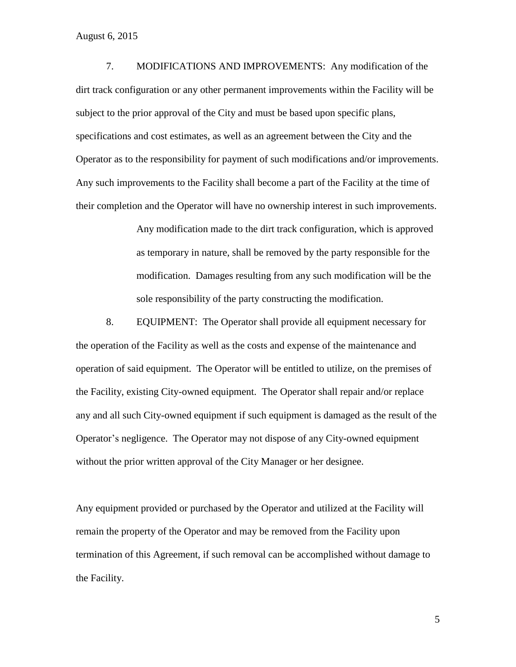7. MODIFICATIONS AND IMPROVEMENTS: Any modification of the dirt track configuration or any other permanent improvements within the Facility will be subject to the prior approval of the City and must be based upon specific plans, specifications and cost estimates, as well as an agreement between the City and the Operator as to the responsibility for payment of such modifications and/or improvements. Any such improvements to the Facility shall become a part of the Facility at the time of their completion and the Operator will have no ownership interest in such improvements.

> Any modification made to the dirt track configuration, which is approved as temporary in nature, shall be removed by the party responsible for the modification. Damages resulting from any such modification will be the sole responsibility of the party constructing the modification.

8. EQUIPMENT: The Operator shall provide all equipment necessary for the operation of the Facility as well as the costs and expense of the maintenance and operation of said equipment. The Operator will be entitled to utilize, on the premises of the Facility, existing City-owned equipment. The Operator shall repair and/or replace any and all such City-owned equipment if such equipment is damaged as the result of the Operator's negligence. The Operator may not dispose of any City-owned equipment without the prior written approval of the City Manager or her designee.

Any equipment provided or purchased by the Operator and utilized at the Facility will remain the property of the Operator and may be removed from the Facility upon termination of this Agreement, if such removal can be accomplished without damage to the Facility.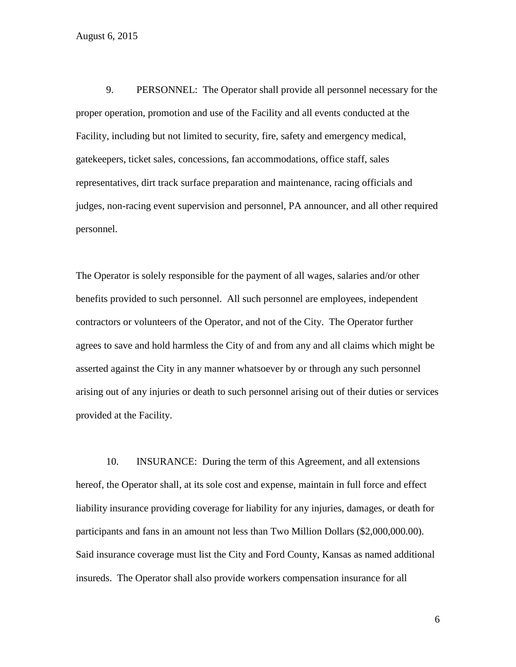9. PERSONNEL: The Operator shall provide all personnel necessary for the proper operation, promotion and use of the Facility and all events conducted at the Facility, including but not limited to security, fire, safety and emergency medical, gatekeepers, ticket sales, concessions, fan accommodations, office staff, sales representatives, dirt track surface preparation and maintenance, racing officials and judges, non-racing event supervision and personnel, PA announcer, and all other required personnel.

The Operator is solely responsible for the payment of all wages, salaries and/or other benefits provided to such personnel. All such personnel are employees, independent contractors or volunteers of the Operator, and not of the City. The Operator further agrees to save and hold harmless the City of and from any and all claims which might be asserted against the City in any manner whatsoever by or through any such personnel arising out of any injuries or death to such personnel arising out of their duties or services provided at the Facility.

10. INSURANCE: During the term of this Agreement, and all extensions hereof, the Operator shall, at its sole cost and expense, maintain in full force and effect liability insurance providing coverage for liability for any injuries, damages, or death for participants and fans in an amount not less than Two Million Dollars (\$2,000,000.00). Said insurance coverage must list the City and Ford County, Kansas as named additional insureds. The Operator shall also provide workers compensation insurance for all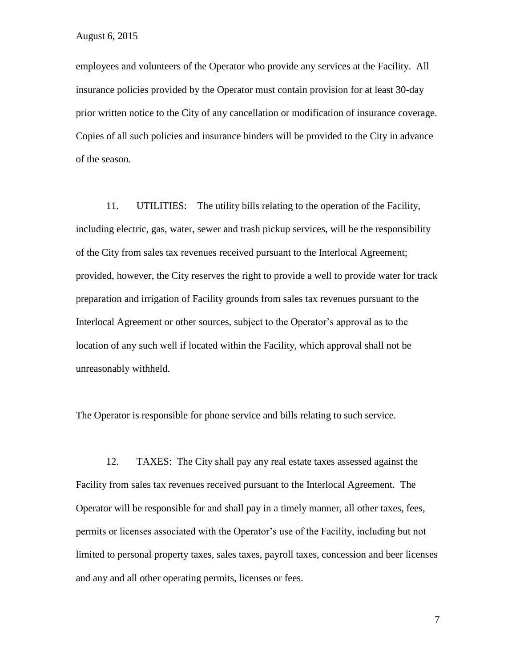employees and volunteers of the Operator who provide any services at the Facility. All insurance policies provided by the Operator must contain provision for at least 30-day prior written notice to the City of any cancellation or modification of insurance coverage. Copies of all such policies and insurance binders will be provided to the City in advance of the season.

11. UTILITIES: The utility bills relating to the operation of the Facility, including electric, gas, water, sewer and trash pickup services, will be the responsibility of the City from sales tax revenues received pursuant to the Interlocal Agreement; provided, however, the City reserves the right to provide a well to provide water for track preparation and irrigation of Facility grounds from sales tax revenues pursuant to the Interlocal Agreement or other sources, subject to the Operator's approval as to the location of any such well if located within the Facility, which approval shall not be unreasonably withheld.

The Operator is responsible for phone service and bills relating to such service.

12. TAXES: The City shall pay any real estate taxes assessed against the Facility from sales tax revenues received pursuant to the Interlocal Agreement. The Operator will be responsible for and shall pay in a timely manner, all other taxes, fees, permits or licenses associated with the Operator's use of the Facility, including but not limited to personal property taxes, sales taxes, payroll taxes, concession and beer licenses and any and all other operating permits, licenses or fees.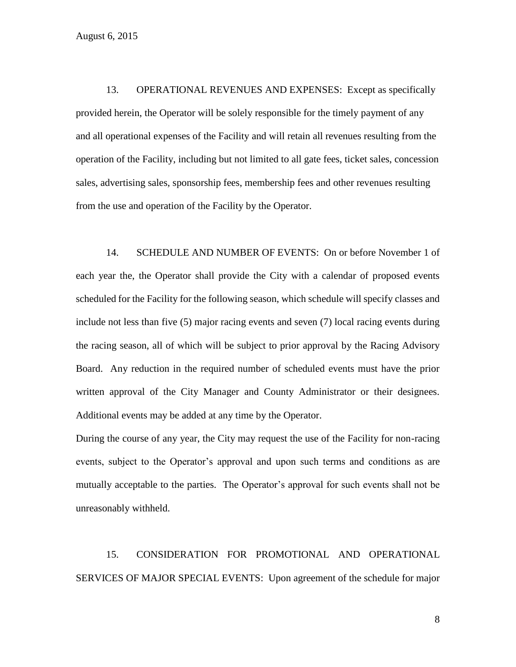13. OPERATIONAL REVENUES AND EXPENSES: Except as specifically provided herein, the Operator will be solely responsible for the timely payment of any and all operational expenses of the Facility and will retain all revenues resulting from the operation of the Facility, including but not limited to all gate fees, ticket sales, concession sales, advertising sales, sponsorship fees, membership fees and other revenues resulting from the use and operation of the Facility by the Operator.

14. SCHEDULE AND NUMBER OF EVENTS: On or before November 1 of each year the, the Operator shall provide the City with a calendar of proposed events scheduled for the Facility for the following season, which schedule will specify classes and include not less than five (5) major racing events and seven (7) local racing events during the racing season, all of which will be subject to prior approval by the Racing Advisory Board.Any reduction in the required number of scheduled events must have the prior written approval of the City Manager and County Administrator or their designees. Additional events may be added at any time by the Operator.

During the course of any year, the City may request the use of the Facility for non-racing events, subject to the Operator's approval and upon such terms and conditions as are mutually acceptable to the parties. The Operator's approval for such events shall not be unreasonably withheld.

15. CONSIDERATION FOR PROMOTIONAL AND OPERATIONAL SERVICES OF MAJOR SPECIAL EVENTS: Upon agreement of the schedule for major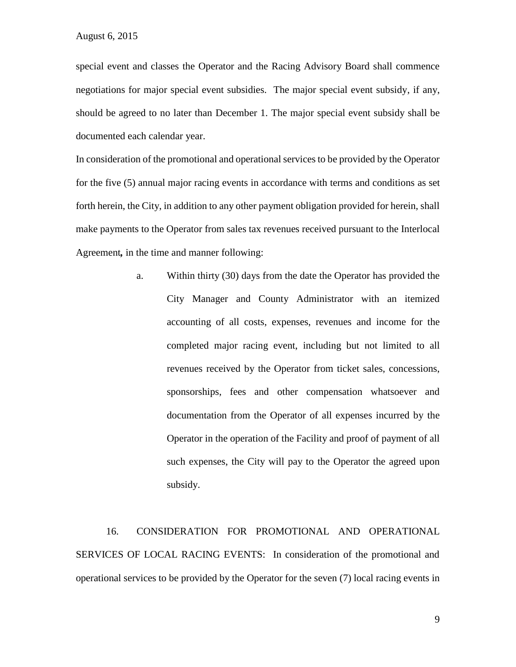special event and classes the Operator and the Racing Advisory Board shall commence negotiations for major special event subsidies. The major special event subsidy, if any, should be agreed to no later than December 1. The major special event subsidy shall be documented each calendar year.

In consideration of the promotional and operational services to be provided by the Operator for the five (5) annual major racing events in accordance with terms and conditions as set forth herein, the City, in addition to any other payment obligation provided for herein, shall make payments to the Operator from sales tax revenues received pursuant to the Interlocal Agreement*,* in the time and manner following:

> a. Within thirty (30) days from the date the Operator has provided the City Manager and County Administrator with an itemized accounting of all costs, expenses, revenues and income for the completed major racing event, including but not limited to all revenues received by the Operator from ticket sales, concessions, sponsorships, fees and other compensation whatsoever and documentation from the Operator of all expenses incurred by the Operator in the operation of the Facility and proof of payment of all such expenses, the City will pay to the Operator the agreed upon subsidy.

16. CONSIDERATION FOR PROMOTIONAL AND OPERATIONAL SERVICES OF LOCAL RACING EVENTS: In consideration of the promotional and operational services to be provided by the Operator for the seven (7) local racing events in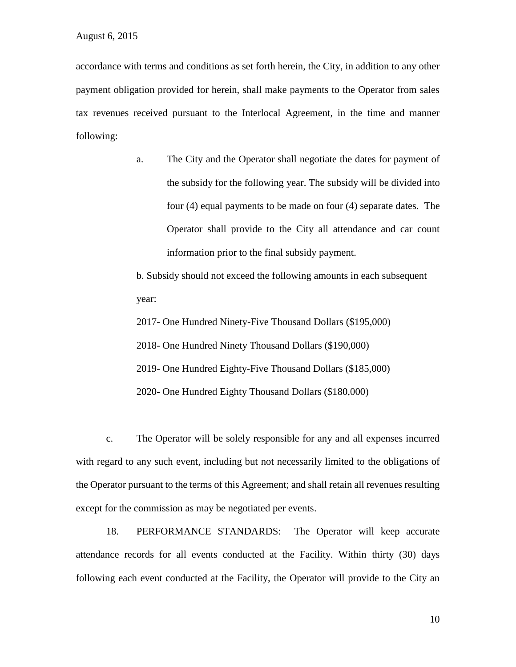accordance with terms and conditions as set forth herein, the City, in addition to any other payment obligation provided for herein, shall make payments to the Operator from sales tax revenues received pursuant to the Interlocal Agreement, in the time and manner following:

> a. The City and the Operator shall negotiate the dates for payment of the subsidy for the following year. The subsidy will be divided into four (4) equal payments to be made on four (4) separate dates. The Operator shall provide to the City all attendance and car count information prior to the final subsidy payment.

b. Subsidy should not exceed the following amounts in each subsequent year:

2017- One Hundred Ninety-Five Thousand Dollars (\$195,000)

2018- One Hundred Ninety Thousand Dollars (\$190,000)

2019- One Hundred Eighty-Five Thousand Dollars (\$185,000)

2020- One Hundred Eighty Thousand Dollars (\$180,000)

c. The Operator will be solely responsible for any and all expenses incurred with regard to any such event, including but not necessarily limited to the obligations of the Operator pursuant to the terms of this Agreement; and shall retain all revenues resulting except for the commission as may be negotiated per events.

18. PERFORMANCE STANDARDS: The Operator will keep accurate attendance records for all events conducted at the Facility. Within thirty (30) days following each event conducted at the Facility, the Operator will provide to the City an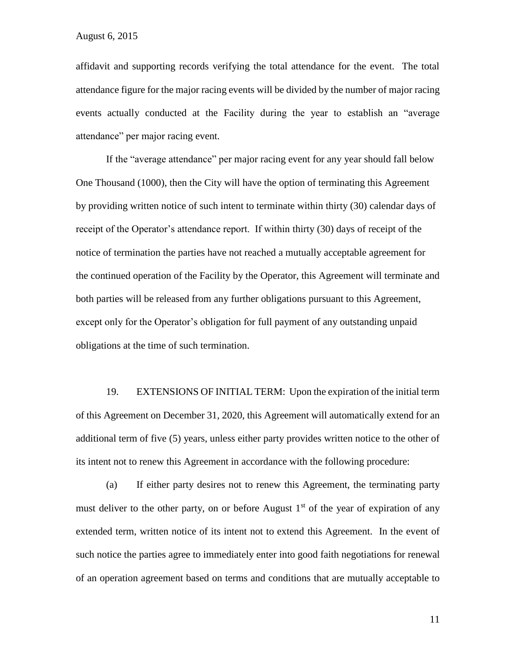affidavit and supporting records verifying the total attendance for the event. The total attendance figure for the major racing events will be divided by the number of major racing events actually conducted at the Facility during the year to establish an "average attendance" per major racing event.

If the "average attendance" per major racing event for any year should fall below One Thousand (1000), then the City will have the option of terminating this Agreement by providing written notice of such intent to terminate within thirty (30) calendar days of receipt of the Operator's attendance report. If within thirty (30) days of receipt of the notice of termination the parties have not reached a mutually acceptable agreement for the continued operation of the Facility by the Operator, this Agreement will terminate and both parties will be released from any further obligations pursuant to this Agreement, except only for the Operator's obligation for full payment of any outstanding unpaid obligations at the time of such termination.

19. EXTENSIONS OF INITIAL TERM: Upon the expiration of the initial term of this Agreement on December 31, 2020, this Agreement will automatically extend for an additional term of five (5) years, unless either party provides written notice to the other of its intent not to renew this Agreement in accordance with the following procedure:

(a) If either party desires not to renew this Agreement, the terminating party must deliver to the other party, on or before August  $1<sup>st</sup>$  of the year of expiration of any extended term, written notice of its intent not to extend this Agreement. In the event of such notice the parties agree to immediately enter into good faith negotiations for renewal of an operation agreement based on terms and conditions that are mutually acceptable to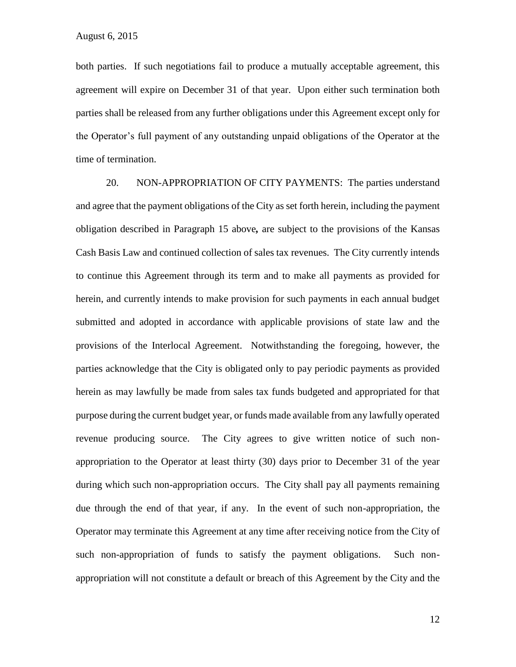both parties. If such negotiations fail to produce a mutually acceptable agreement, this agreement will expire on December 31 of that year. Upon either such termination both parties shall be released from any further obligations under this Agreement except only for the Operator's full payment of any outstanding unpaid obligations of the Operator at the time of termination.

20. NON-APPROPRIATION OF CITY PAYMENTS: The parties understand and agree that the payment obligations of the City as set forth herein, including the payment obligation described in Paragraph 15 above*,* are subject to the provisions of the Kansas Cash Basis Law and continued collection of sales tax revenues. The City currently intends to continue this Agreement through its term and to make all payments as provided for herein, and currently intends to make provision for such payments in each annual budget submitted and adopted in accordance with applicable provisions of state law and the provisions of the Interlocal Agreement. Notwithstanding the foregoing, however, the parties acknowledge that the City is obligated only to pay periodic payments as provided herein as may lawfully be made from sales tax funds budgeted and appropriated for that purpose during the current budget year, or funds made available from any lawfully operated revenue producing source. The City agrees to give written notice of such nonappropriation to the Operator at least thirty (30) days prior to December 31 of the year during which such non-appropriation occurs. The City shall pay all payments remaining due through the end of that year, if any. In the event of such non-appropriation, the Operator may terminate this Agreement at any time after receiving notice from the City of such non-appropriation of funds to satisfy the payment obligations. Such nonappropriation will not constitute a default or breach of this Agreement by the City and the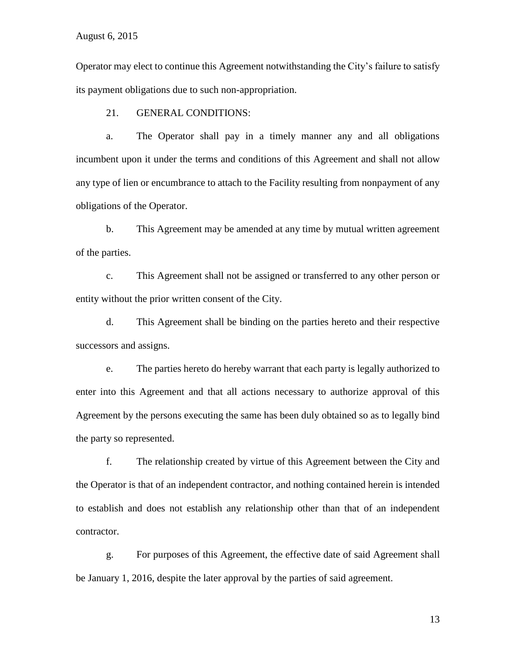Operator may elect to continue this Agreement notwithstanding the City's failure to satisfy its payment obligations due to such non-appropriation.

21. GENERAL CONDITIONS:

a. The Operator shall pay in a timely manner any and all obligations incumbent upon it under the terms and conditions of this Agreement and shall not allow any type of lien or encumbrance to attach to the Facility resulting from nonpayment of any obligations of the Operator.

b. This Agreement may be amended at any time by mutual written agreement of the parties.

c. This Agreement shall not be assigned or transferred to any other person or entity without the prior written consent of the City.

d. This Agreement shall be binding on the parties hereto and their respective successors and assigns.

e. The parties hereto do hereby warrant that each party is legally authorized to enter into this Agreement and that all actions necessary to authorize approval of this Agreement by the persons executing the same has been duly obtained so as to legally bind the party so represented.

f. The relationship created by virtue of this Agreement between the City and the Operator is that of an independent contractor, and nothing contained herein is intended to establish and does not establish any relationship other than that of an independent contractor.

g. For purposes of this Agreement, the effective date of said Agreement shall be January 1, 2016, despite the later approval by the parties of said agreement.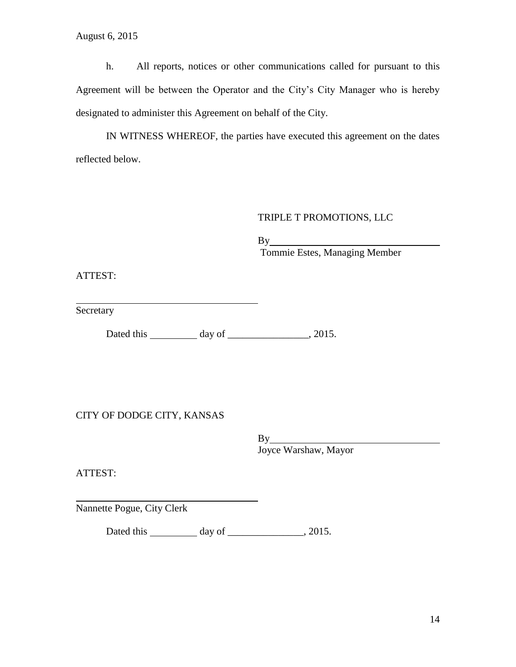h. All reports, notices or other communications called for pursuant to this Agreement will be between the Operator and the City's City Manager who is hereby designated to administer this Agreement on behalf of the City.

IN WITNESS WHEREOF, the parties have executed this agreement on the dates reflected below.

# TRIPLE T PROMOTIONS, LLC

By

Tommie Estes, Managing Member

ATTEST:

Secretary

Dated this \_\_\_\_\_\_\_\_\_\_ day of \_\_\_\_\_\_\_\_\_\_\_\_\_\_, 2015.

CITY OF DODGE CITY, KANSAS

By Joyce Warshaw, Mayor

ATTEST:

Nannette Pogue, City Clerk

Dated this \_\_\_\_\_\_\_\_\_\_\_ day of \_\_\_\_\_\_\_\_\_\_\_\_\_\_, 2015.